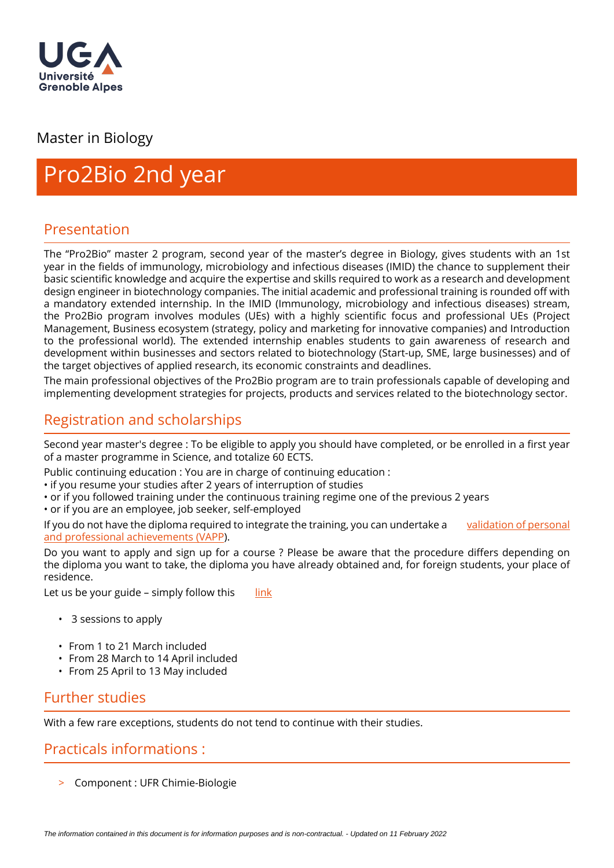

# Master in Biology

# Pro2Bio 2nd year

# Presentation

The "Pro2Bio" master 2 program, second year of the master's degree in Biology, gives students with an 1st year in the fields of immunology, microbiology and infectious diseases (IMID) the chance to supplement their basic scientific knowledge and acquire the expertise and skills required to work as a research and development design engineer in biotechnology companies. The initial academic and professional training is rounded off with a mandatory extended internship. In the IMID (Immunology, microbiology and infectious diseases) stream, the Pro2Bio program involves modules (UEs) with a highly scientific focus and professional UEs (Project Management, Business ecosystem (strategy, policy and marketing for innovative companies) and Introduction to the professional world). The extended internship enables students to gain awareness of research and development within businesses and sectors related to biotechnology (Start-up, SME, large businesses) and of the target objectives of applied research, its economic constraints and deadlines.

The main professional objectives of the Pro2Bio program are to train professionals capable of developing and implementing development strategies for projects, products and services related to the biotechnology sector.

# Registration and scholarships

Second year master's degree : To be eligible to apply you should have completed, or be enrolled in a first year of a master programme in Science, and totalize 60 ECTS.

Public continuing education : You are in charge of continuing education :

• if you resume your studies after 2 years of interruption of studies

• or if you followed training under the continuous training regime one of the previous 2 years

• or if you are an employee, job seeker, self-employed

If you do not have the diploma required to integrate the training, you can undertake a [validation of personal](https://www.univ-grenoble-alpes.fr/construire-son-parcours/valider-ses-acquis/validation-des-acquis-personnels-et-professionnels-vapp-/)  [and professional achievements \(VAPP](https://www.univ-grenoble-alpes.fr/construire-son-parcours/valider-ses-acquis/validation-des-acquis-personnels-et-professionnels-vapp-/)).

Do you want to apply and sign up for a course ? Please be aware that the procedure differs depending on the diploma you want to take, the diploma you have already obtained and, for foreign students, your place of residence.

Let us be your guide – simply follow this  $\frac{1}{2}$  [link](https://www.univ-grenoble-alpes.fr/education/how-to-apply/applying-and-registering/)

- 3 sessions to apply
- From 1 to 21 March included
- From 28 March to 14 April included
- From 25 April to 13 May included

# Further studies

With a few rare exceptions, students do not tend to continue with their studies.

### Practicals informations :

> Component : UFR Chimie-Biologie